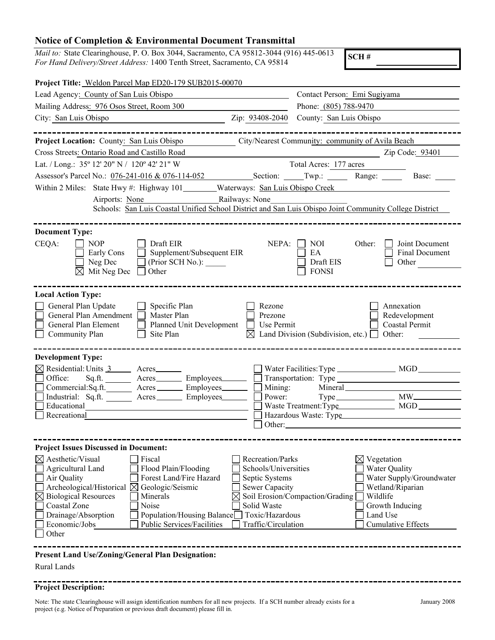## **Notice of Completion & Environmental Document Transmittal**

*Mail to:* State Clearinghouse, P. O. Box 3044, Sacramento, CA 95812-3044 (916) 445-0613 *For Hand Delivery/Street Address:* 1400 Tenth Street, Sacramento, CA 95814

**SCH #**

| Project Title: Weldon Parcel Map ED20-179 SUB2015-00070                                                                                                                                                  |                                                                                                     |
|----------------------------------------------------------------------------------------------------------------------------------------------------------------------------------------------------------|-----------------------------------------------------------------------------------------------------|
| Lead Agency: County of San Luis Obispo                                                                                                                                                                   | Contact Person: Emi Sugiyama                                                                        |
| Mailing Address: 976 Osos Street, Room 300                                                                                                                                                               | Phone: (805) 788-9470                                                                               |
| City: San Luis Obispo<br>Zip: 93408-2040                                                                                                                                                                 | County: San Luis Obispo                                                                             |
|                                                                                                                                                                                                          |                                                                                                     |
| Project Location: County: San Luis Obispo                                                                                                                                                                | City/Nearest Community: community of Avila Beach                                                    |
| Cross Streets: Ontario Road and Castillo Road                                                                                                                                                            | Zip Code: 93401                                                                                     |
| Lat. / Long.: 35° 12′ 20" N / 120° 42′ 21" W                                                                                                                                                             | Total Acres: 177 acres                                                                              |
| Assessor's Parcel No.: 076-241-016 & 076-114-052 Section: Twp.: Range: Base: Base:                                                                                                                       |                                                                                                     |
| Within 2 Miles: State Hwy #: Highway 101 _______Waterways: San Luis Obispo Creek                                                                                                                         |                                                                                                     |
| Airports: None Railways: None                                                                                                                                                                            |                                                                                                     |
| Schools: San Luis Coastal Unified School District and San Luis Obispo Joint Community College District                                                                                                   |                                                                                                     |
|                                                                                                                                                                                                          |                                                                                                     |
| <b>Document Type:</b><br>CEQA:<br>Draft EIR<br>NEPA:<br><b>NOP</b><br>Supplement/Subsequent EIR<br>Early Cons<br>Neg Dec<br>(Prior SCH No.):<br>$\boxtimes$ Mit Neg Dec<br>Other                         | NOI<br>Other:<br>Joint Document<br>Final Document<br>EA<br>Draft EIS<br>Other<br><b>FONSI</b>       |
| <b>Local Action Type:</b>                                                                                                                                                                                |                                                                                                     |
| General Plan Update<br>Specific Plan<br>Rezone<br>General Plan Amendment<br>Master Plan<br>Prezone<br>Planned Unit Development<br>General Plan Element<br>Use Permit<br>Community Plan<br>Site Plan<br>М | Annexation<br>Redevelopment<br>Coastal Permit<br>Land Division (Subdivision, etc.) $\Box$<br>Other: |
| <b>Development Type:</b>                                                                                                                                                                                 |                                                                                                     |
| $\boxtimes$ Residential: Units $\frac{3}{2}$ Acres                                                                                                                                                       |                                                                                                     |
| Sq.ft. ________ Acres_________ Employees_______<br>Office:                                                                                                                                               |                                                                                                     |
| Mining:<br>Commercial:Sq.ft. _______ Acres _______ Employees_______<br>Industrial: Sq.ft. _______ Acres _______ Employees_______<br>Power:                                                               |                                                                                                     |
| Educational                                                                                                                                                                                              |                                                                                                     |
| Recreational                                                                                                                                                                                             | Hazardous Waste: Type                                                                               |
| Other:                                                                                                                                                                                                   |                                                                                                     |
|                                                                                                                                                                                                          |                                                                                                     |
| <b>Project Issues Discussed in Document:</b>                                                                                                                                                             |                                                                                                     |
| $\boxtimes$ Aesthetic/Visual<br>Fiscal<br>Recreation/Parks<br>Agricultural Land<br>Schools/Universities                                                                                                  | $\boxtimes$ Vegetation<br><b>Water Quality</b>                                                      |
| Flood Plain/Flooding<br>Forest Land/Fire Hazard<br>Air Quality<br>Septic Systems                                                                                                                         | Water Supply/Groundwater                                                                            |
| Archeological/Historical $\boxtimes$<br>Geologic/Seismic<br>Sewer Capacity                                                                                                                               | Wetland/Riparian                                                                                    |
| <b>Biological Resources</b><br>Minerals<br>$\boxtimes$                                                                                                                                                   | Soil Erosion/Compaction/Grading<br>Wildlife                                                         |
| Coastal Zone<br>Noise<br>Solid Waste<br>Population/Housing Balance<br>Toxic/Hazardous                                                                                                                    | Growth Inducing                                                                                     |
| Drainage/Absorption<br><b>Public Services/Facilities</b><br>Traffic/Circulation<br>Economic/Jobs                                                                                                         | Land Use<br><b>Cumulative Effects</b>                                                               |
| Other                                                                                                                                                                                                    |                                                                                                     |
|                                                                                                                                                                                                          |                                                                                                     |

---------------

## **Present Land Use/Zoning/General Plan Designation:**

Rural Lands

## **Project Description:**

Note: The state Clearinghouse will assign identification numbers for all new projects. If a SCH number already exists for a project (e.g. Notice of Preparation or previous draft document) please fill in.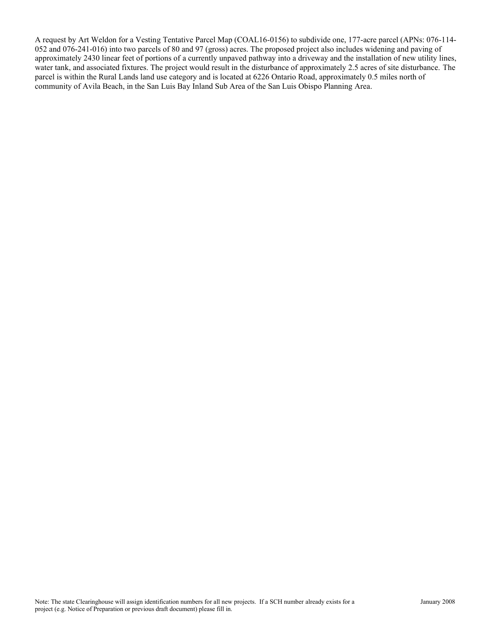A request by Art Weldon for a Vesting Tentative Parcel Map (COAL16-0156) to subdivide one, 177-acre parcel (APNs: 076-114- 052 and 076-241-016) into two parcels of 80 and 97 (gross) acres. The proposed project also includes widening and paving of approximately 2430 linear feet of portions of a currently unpaved pathway into a driveway and the installation of new utility lines, water tank, and associated fixtures. The project would result in the disturbance of approximately 2.5 acres of site disturbance. The parcel is within the Rural Lands land use category and is located at 6226 Ontario Road, approximately 0.5 miles north of community of Avila Beach, in the San Luis Bay Inland Sub Area of the San Luis Obispo Planning Area.